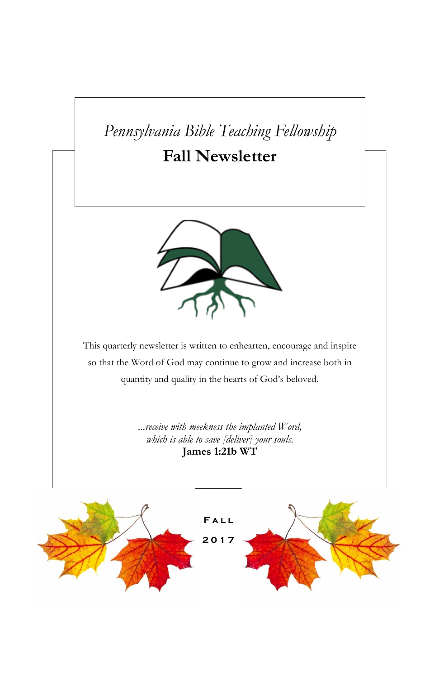# *Pennsylvania Bible Teaching Fellowship*

# **Fall Newsletter**



This quarterly newsletter is written to enhearten, encourage and inspire so that the Word of God may continue to grow and increase both in quantity and quality in the hearts of God's beloved.

> *...receive with meekness the implanted Word, which is able to save [deliver] your souls.* **James 1:21b WT**

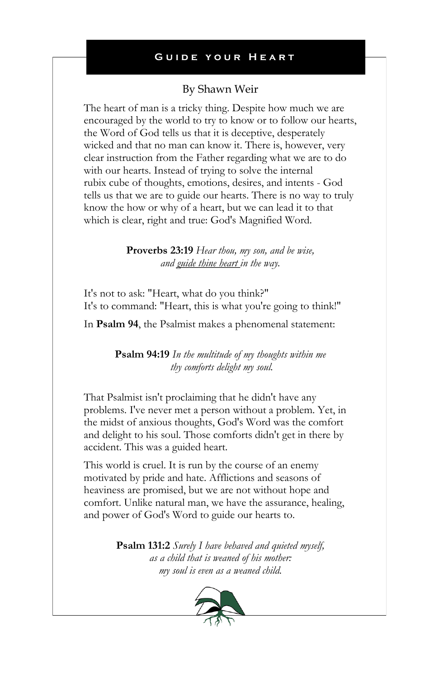## By Shawn Weir

The heart of man is a tricky thing. Despite how much we are encouraged by the world to try to know or to follow our hearts, the Word of God tells us that it is deceptive, desperately wicked and that no man can know it. There is, however, very clear instruction from the Father regarding what we are to do with our hearts. Instead of trying to solve the internal rubix cube of thoughts, emotions, desires, and intents - God tells us that we are to guide our hearts. There is no way to truly know the how or why of a heart, but we can lead it to that which is clear, right and true: God's Magnified Word.

> **Proverbs 23:19** *Hear thou, my son, and be wise, and guide thine heart in the way.*

It's not to ask: "Heart, what do you think?" It's to command: "Heart, this is what you're going to think!"

In **Psalm 94**, the Psalmist makes a phenomenal statement:

**Psalm 94:19** *In the multitude of my thoughts within me thy comforts delight my soul.*

That Psalmist isn't proclaiming that he didn't have any problems. I've never met a person without a problem. Yet, in the midst of anxious thoughts, God's Word was the comfort and delight to his soul. Those comforts didn't get in there by accident. This was a guided heart.

This world is cruel. It is run by the course of an enemy motivated by pride and hate. Afflictions and seasons of heaviness are promised, but we are not without hope and comfort. Unlike natural man, we have the assurance, healing, and power of God's Word to guide our hearts to.

> **Psalm 131:2** *Surely I have behaved and quieted myself, as a child that is weaned of his mother: my soul is even as a weaned child.*

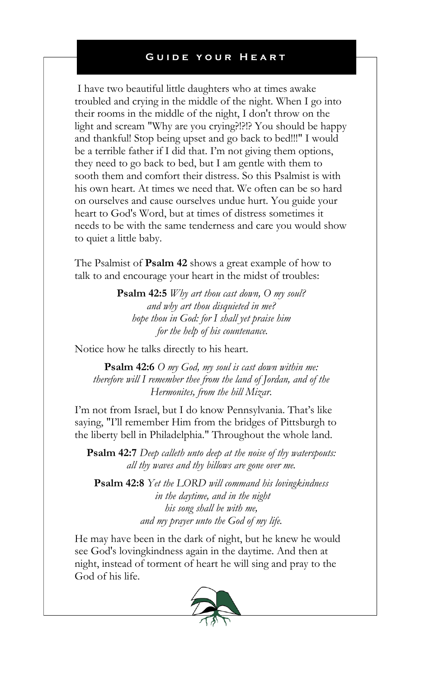I have two beautiful little daughters who at times awake troubled and crying in the middle of the night. When I go into their rooms in the middle of the night, I don't throw on the light and scream "Why are you crying?!?!? You should be happy and thankful! Stop being upset and go back to bed!!!" I would be a terrible father if I did that. I'm not giving them options, they need to go back to bed, but I am gentle with them to sooth them and comfort their distress. So this Psalmist is with his own heart. At times we need that. We often can be so hard on ourselves and cause ourselves undue hurt. You guide your heart to God's Word, but at times of distress sometimes it needs to be with the same tenderness and care you would show to quiet a little baby.

The Psalmist of **Psalm 42** shows a great example of how to talk to and encourage your heart in the midst of troubles:

> **Psalm 42:5** *Why art thou cast down, O my soul? and why art thou disquieted in me? hope thou in God: for I shall yet praise him for the help of his countenance.*

Notice how he talks directly to his heart.

**Psalm 42:6** *O my God, my soul is cast down within me: therefore will I remember thee from the land of Jordan, and of the Hermonites, from the hill Mizar.*

I'm not from Israel, but I do know Pennsylvania. That's like saying, "I'll remember Him from the bridges of Pittsburgh to the liberty bell in Philadelphia." Throughout the whole land.

**Psalm 42:7** *Deep calleth unto deep at the noise of thy waterspouts: all thy waves and thy billows are gone over me.*

**Psalm 42:8** *Yet the LORD will command his lovingkindness in the daytime, and in the night his song shall be with me, and my prayer unto the God of my life.*

He may have been in the dark of night, but he knew he would see God's lovingkindness again in the daytime. And then at night, instead of torment of heart he will sing and pray to the God of his life.

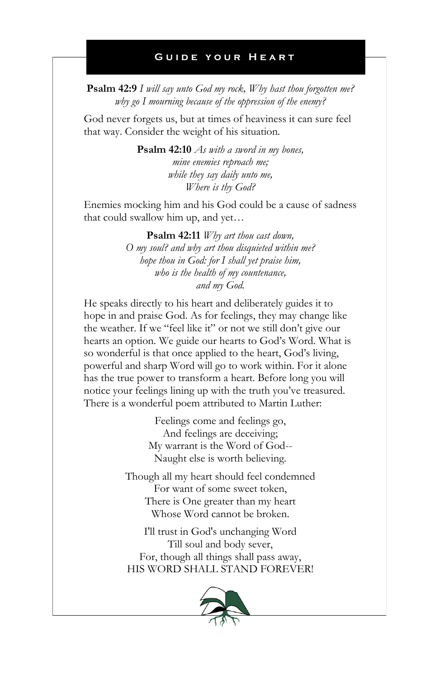**Psalm 42:9** *I will say unto God my rock, Why hast thou forgotten me? why go I mourning because of the oppression of the enemy?*

God never forgets us, but at times of heaviness it can sure feel that way. Consider the weight of his situation.

> **Psalm 42:10** *As with a sword in my bones, mine enemies reproach me; while they say daily unto me, Where is thy God?*

Enemies mocking him and his God could be a cause of sadness that could swallow him up, and yet…

> **Psalm 42:11** *Why art thou cast down, O my soul? and why art thou disquieted within me? hope thou in God: for I shall yet praise him, who is the health of my countenance, and my God.*

He speaks directly to his heart and deliberately guides it to hope in and praise God. As for feelings, they may change like the weather. If we "feel like it" or not we still don't give our hearts an option. We guide our hearts to God's Word. What is so wonderful is that once applied to the heart, God's living, powerful and sharp Word will go to work within. For it alone has the true power to transform a heart. Before long you will notice your feelings lining up with the truth you've treasured. There is a wonderful poem attributed to Martin Luther:

> Feelings come and feelings go, And feelings are deceiving; My warrant is the Word of God-- Naught else is worth believing.

Though all my heart should feel condemned For want of some sweet token, There is One greater than my heart Whose Word cannot be broken.

I'll trust in God's unchanging Word Till soul and body sever, For, though all things shall pass away, HIS WORD SHALL STAND FOREVER!

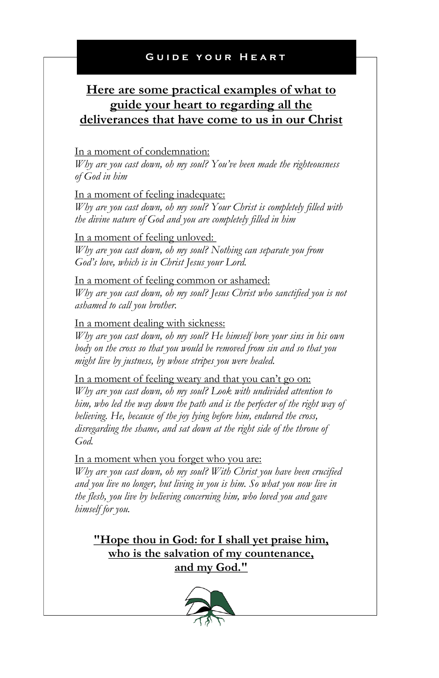# **Here are some practical examples of what to guide your heart to regarding all the deliverances that have come to us in our Christ**

### In a moment of condemnation:

*Why are you cast down, oh my soul? You've been made the righteousness of God in him*

In a moment of feeling inadequate:

*Why are you cast down, oh my soul? Your Christ is completely filled with the divine nature of God and you are completely filled in him*

In a moment of feeling unloved: *Why are you cast down, oh my soul? Nothing can separate you from God's love, which is in Christ Jesus your Lord.*

In a moment of feeling common or ashamed: *Why are you cast down, oh my soul? Jesus Christ who sanctified you is not ashamed to call you brother.*

In a moment dealing with sickness:

*Why are you cast down, oh my soul? He himself bore your sins in his own body on the cross so that you would be removed from sin and so that you might live by justness, by whose stripes you were healed.*

#### In a moment of feeling weary and that you can't go on:

*Why are you cast down, oh my soul? Look with undivided attention to him, who led the way down the path and is the perfecter of the right way of believing. He, because of the joy lying before him, endured the cross, disregarding the shame, and sat down at the right side of the throne of God.*

In a moment when you forget who you are:

*Why are you cast down, oh my soul? With Christ you have been crucified and you live no longer, but living in you is him. So what you now live in the flesh, you live by believing concerning him, who loved you and gave himself for you.*

**"Hope thou in God: for I shall yet praise him, who is the salvation of my countenance, and my God."**

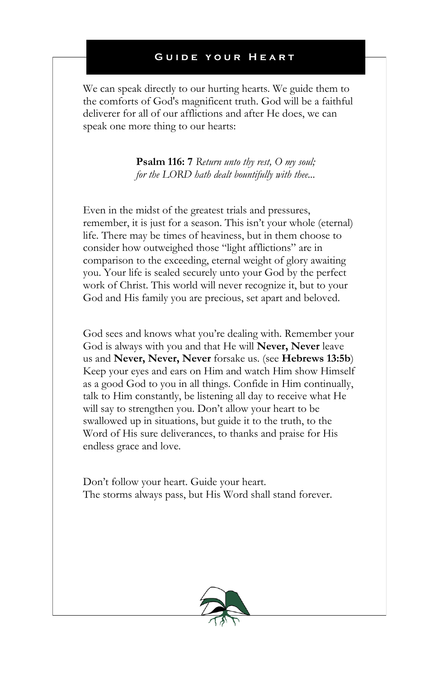We can speak directly to our hurting hearts. We guide them to the comforts of God's magnificent truth. God will be a faithful deliverer for all of our afflictions and after He does, we can speak one more thing to our hearts:

> **Psalm 116: 7** *Return unto thy rest, O my soul; for the LORD hath dealt bountifully with thee...*

Even in the midst of the greatest trials and pressures, remember, it is just for a season. This isn't your whole (eternal) life. There may be times of heaviness, but in them choose to consider how outweighed those "light afflictions" are in comparison to the exceeding, eternal weight of glory awaiting you. Your life is sealed securely unto your God by the perfect work of Christ. This world will never recognize it, but to your God and His family you are precious, set apart and beloved.

God sees and knows what you're dealing with. Remember your God is always with you and that He will **Never, Never** leave us and **Never, Never, Never** forsake us. (see **Hebrews 13:5b**) Keep your eyes and ears on Him and watch Him show Himself as a good God to you in all things. Confide in Him continually, talk to Him constantly, be listening all day to receive what He will say to strengthen you. Don't allow your heart to be swallowed up in situations, but guide it to the truth, to the Word of His sure deliverances, to thanks and praise for His endless grace and love.

Don't follow your heart. Guide your heart. The storms always pass, but His Word shall stand forever.

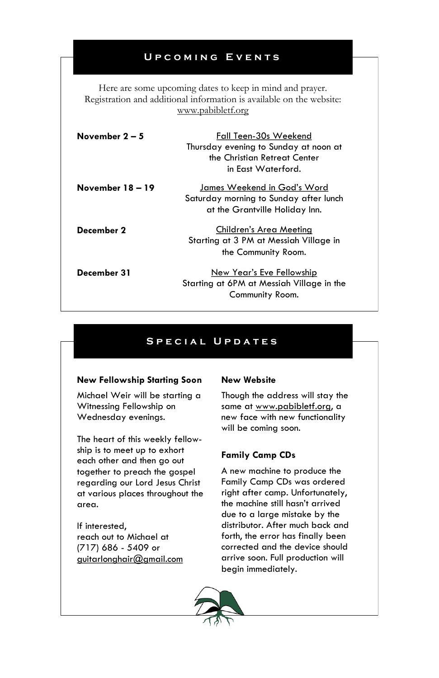### **U p c o m i n g E v e n t s**

Here are some upcoming dates to keep in mind and prayer. Registration and additional information is available on the website: www.pabibletf.org

| November $2-5$   | Fall Teen-30s Weekend<br>Thursday evening to Sunday at noon at<br>the Christian Retreat Center<br>in Fast Waterford. |
|------------------|----------------------------------------------------------------------------------------------------------------------|
| November 18 – 19 | James Weekend in God's Word<br>Saturday morning to Sunday after lunch<br>at the Grantville Holiday Inn.              |
| December 2       | Children's Area Meeting<br>Starting at 3 PM at Messiah Village in<br>the Community Room.                             |
| December 31      | New Year's Eve Fellowship<br>Starting at 6PM at Messiah Village in the<br>Community Room.                            |

### S P E C I A L U P D A T E S

#### **New Fellowship Starting Soon**

Michael Weir will be starting a Witnessing Fellowship on Wednesday evenings.

The heart of this weekly fellowship is to meet up to exhort each other and then go out together to preach the gospel regarding our Lord Jesus Christ at various places throughout the area.

If interested, reach out to Michael at (717) 686 - 5409 or guitarlonghair@gmail.com

#### **New Website**

Though the address will stay the same at www.pabibletf.org, a new face with new functionality will be coming soon.

#### **Family Camp CDs**

A new machine to produce the Family Camp CDs was ordered right after camp. Unfortunately, the machine still hasn't arrived due to a large mistake by the distributor. After much back and forth, the error has finally been corrected and the device should arrive soon. Full production will begin immediately.